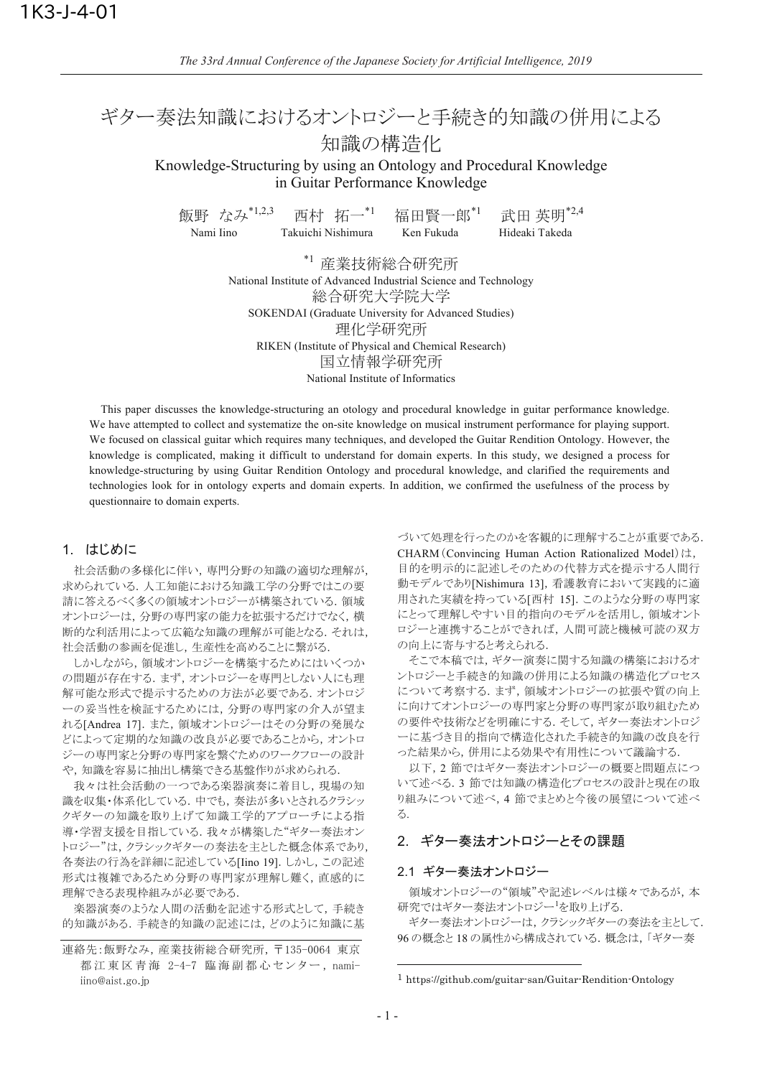# ギター奏法知識におけるオントロジーと手続き的知識の併用による 知識の構造化

Knowledge-Structuring by using an Ontology and Procedural Knowledge in Guitar Performance Knowledge

西村 拓一\*1 飯野 なみ\*1,2,3 武田 英明\*2,4 福田腎一郎\*1 Takuichi Nishimura Nami Iino Ken Fukuda Hideaki Takeda

> \*1 産業技術総合研究所 National Institute of Advanced Industrial Science and Technology 総合研究大学院大学 SOKENDAI (Graduate University for Advanced Studies) 理化学研究所 RIKEN (Institute of Physical and Chemical Research) 国立情報学研究所 National Institute of Informatics

This paper discusses the knowledge-structuring an otology and procedural knowledge in guitar performance knowledge. We have attempted to collect and systematize the on-site knowledge on musical instrument performance for playing support. We focused on classical guitar which requires many techniques, and developed the Guitar Rendition Ontology. However, the knowledge is complicated, making it difficult to understand for domain experts. In this study, we designed a process for knowledge-structuring by using Guitar Rendition Ontology and procedural knowledge, and clarified the requirements and technologies look for in ontology experts and domain experts. In addition, we confirmed the usefulness of the process by questionnaire to domain experts.

#### 1. はじめに

社会活動の多様化に伴い、専門分野の知識の適切な理解が、 求められている. 人工知能における知識工学の分野ではこの要 請に答えるべく多くの領域オントロジーが構築されている. 領域 オントロジーは、分野の専門家の能力を拡張するだけでなく、横 断的な利活用によって広範な知識の理解が可能となる. それは, 社会活動の参画を促進し,生産性を高めることに繋がる.

しかしながら、領域オントロジーを構築するためにはいくつか の問題が存在する. まず、オントロジーを専門としない人にも理 解可能な形式で提示するための方法が必要である. オントロジ ーの妥当性を検証するためには、分野の専門家の介入が望ま れる[Andrea 17]. また、領域オントロジーはその分野の発展な どによって定期的な知識の改良が必要であることから、オントロ ジーの専門家と分野の専門家を繋ぐためのワークフローの設計 や、知識を容易に抽出し構築できる基盤作りが求められる.

我々は社会活動の一つである楽器演奏に着目し、現場の知 識を収集・体系化している. 中でも、奏法が多いとされるクラシッ クギターの知識を取り上げて知識工学的アプローチによる指 導・学習支援を目指している. 我々が構築した"ギター奏法オン トロジー"は、クラシックギターの奏法を主とした概念体系であり、 各奏法の行為を詳細に記述している[Iino 19]. しかし、この記述 形式は複雑であるため分野の専門家が理解し難く、直感的に 理解できる表現枠組みが必要である.

楽器演奏のような人間の活動を記述する形式として、手続き 的知識がある. 手続き的知識の記述には、どのように知識に基

づいて処理を行ったのかを客観的に理解することが重要である. CHARM (Convincing Human Action Rationalized Model)は, 目的を明示的に記述しそのための代替方式を提示する人間行 動モデルであり[Nishimura 13], 看護教育において実践的に適 用された実績を持っている「西村 15]. このような分野の専門家 にとって理解しやすい目的指向のモデルを活用し、領域オント ロジーと連携することができれば、人間可読と機械可読の双方 の向上に寄与すると考えられる.

そこで本稿では、ギター演奏に関する知識の構築におけるオ ントロジーと手続き的知識の併用による知識の構造化プロセス について考察する. まず, 領域オントロジーの拡張や質の向上 に向けてオントロジーの専門家と分野の専門家が取り組むため の要件や技術などを明確にする。そして、ギター奏法オントロジ ーに基づき目的指向で構造化された手続き的知識の改良を行 った結果から、併用による効果や有用性について議論する.

以下,2節ではギター奏法オントロジーの概要と問題点につ いて述べる. 3 節では知識の構造化プロセスの設計と現在の取 り組みについて述べ、4節でまとめと今後の展望について述べ る.

# 2. ギター奏法オントロジーとその課題

#### 2.1 ギター奏法オントロジー

領域オントロジーの"領域"や記述レベルは様々であるが、本 研究ではギター奏法オントロジー<sup>1</sup>を取り上げる.

ギター奏法オントロジーは、クラシックギターの奏法を主として、 96の概念と18の属性から構成されている。概念は、「ギター奏

連絡先:飯野なみ、産業技術総合研究所、〒135-0064 東京 都江東区青海 2-4-7 臨海副都心センター, namiiino@aist.go.jp

<sup>&</sup>lt;sup>1</sup> https://github.com/guitar-san/Guitar-Rendition-Ontology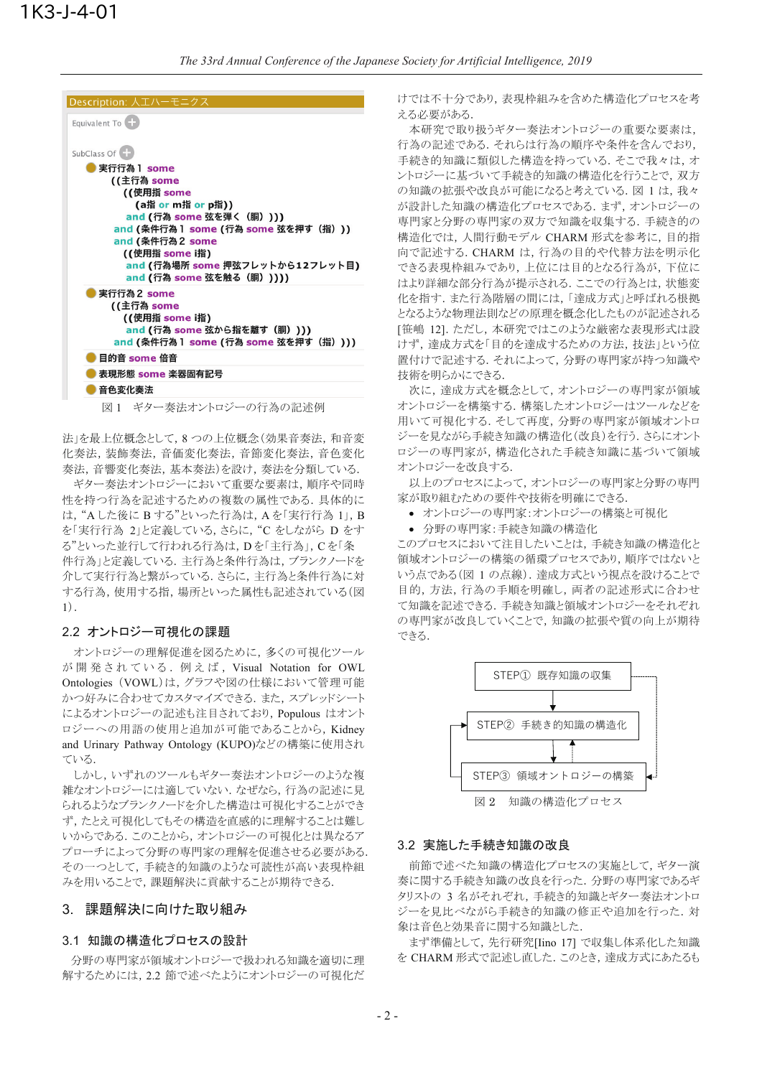| Description: 人エハーモニクス                                                                                                                                                                                                                               |
|-----------------------------------------------------------------------------------------------------------------------------------------------------------------------------------------------------------------------------------------------------|
| Equivalent To                                                                                                                                                                                                                                       |
| SubClass Of<br>実行行為 1 some<br>((主行為 some<br>((使用指 some<br>(a指 or m指 or p指))<br>and (行為 some 弦を弾く(胴))))<br>and (条件行為 l some (行為 some 弦を押す(指)))<br>and (条件行為2 some<br>((使用指 some i指)<br>and (行為場所 some 押弦フレットから12フレット目)<br>and (行為 some 弦を触る (胴) )))) |
| 実行行為 2 some<br>((主行為 some<br>((使用指 some i指)<br>and (行為 some 弦から指を離す(胴))))<br>and (条件行為 l some (行為 some 弦を押す(指))))                                                                                                                                   |
| 目的音 some 倍音                                                                                                                                                                                                                                         |
| 表現形態 some 楽器固有記号                                                                                                                                                                                                                                    |
| 音色変化奏法                                                                                                                                                                                                                                              |
| 図1 ギター奉法オントロジーの行為の記述例                                                                                                                                                                                                                               |

法」を最上位概念として, 8 つの上位概念 (効果音奏法, 和音変 化奏法, 装飾奏法, 音価変化奏法, 音節変化奏法, 音色変化 奏法,音響変化奏法,基本奏法)を設け,奏法を分類している.

ギター奏法オントロジーにおいて重要な要素は、順序や同時 性を持つ行為を記述するための複数の属性である. 具体的に は、"A した後に B する"といった行為は、A を「実行行為 1」, B を「実行行為 2」と定義している, さらに, "C をしながら D をす る"といった並行して行われる行為は, Dを「主行為」, Cを「条 件行為」と定義している. 主行為と条件行為は、ブランクノードを 介して実行行為と繋がっている. さらに, 主行為と条件行為に対 する行為, 使用する指, 場所といった属性も記述されている(図  $1).$ 

#### 2.2 オントロジー可視化の課題

オントロジーの理解促進を図るために、多くの可視化ツール が開発されている. 例えば, Visual Notation for OWL Ontologies (VOWL)は、グラフや図の仕様において管理可能 かつ好みに合わせてカスタマイズできる. また、スプレッドシート によるオントロジーの記述も注目されており, Populous はオント ロジーへの用語の使用と追加が可能であることから、Kidnev and Urinary Pathway Ontology (KUPO)などの構築に使用され ている.

しかし、いずれのツールもギター奏法オントロジーのような複 雑なオントロジーには適していない. なぜなら、行為の記述に見 られるようなブランクノードを介した構造は可視化することができ ず、たとえ可視化してもその構造を直感的に理解することは難し いからである。このことから、オントロジーの可視化とは異なるア プローチによって分野の専門家の理解を促進させる必要がある。 その一つとして、手続き的知識のような可読性が高い表現枠組 みを用いることで、課題解決に貢献することが期待できる.

## 3.課題解決に向けた取り組み

#### 3.1 知識の構造化プロセスの設計

分野の専門家が領域オントロジーで扱われる知識を適切に理 解するためには、2.2 節で述べたようにオントロジーの可視化だ けでは不十分であり、表現枠組みを含めた構造化プロセスを考 える必要がある.

本研究で取り扱うギター奏法オントロジーの重要な要素は, 行為の記述である。それらは行為の順序や条件を含んでおり, 手続き的知識に類似した構造を持っている。そこで我々は、オ ントロジーに基づいて手続き的知識の構造化を行うことで、双方 の知識の拡張や改良が可能になると考えている. 図 1 は、我々 が設計した知識の構造化プロセスである. まず、オントロジーの 専門家と分野の専門家の双方で知識を収集する. 手続き的の 構造化では、人間行動モデル CHARM 形式を参考に、目的指 向で記述する. CHARM は, 行為の目的や代替方法を明示化 できる表現枠組みであり,上位には目的となる行為が,下位に はより詳細な部分行為が提示される. ここでの行為とは, 状態変 化を指す. また行為階層の間には、「達成方式」と呼ばれる根拠 となるような物理法則などの原理を概念化したものが記述される [笹嶋 12]. ただし、本研究ではこのような厳密な表現形式は設 けず、達成方式を「目的を達成するための方法、技法」という位 置付けで記述する。それによって、分野の専門家が持つ知識や 技術を明らかにできる.

次に、達成方式を概念として、オントロジーの専門家が領域 オントロジーを構築する. 構築したオントロジーはツールなどを 用いて可視化する. そして再度, 分野の専門家が領域オントロ ジーを見ながら手続き知識の構造化(改良)を行う. さらにオント ロジーの専門家が,構造化された手続き知識に基づいて領域 オントロジーを改良する.

以上のプロセスによって、オントロジーの専門家と分野の専門 家が取り組むための要件や技術を明確にできる.

• オントロジーの構築と可視化

• 分野の専門家:手続き知識の構造化

このプロセスにおいて注目したいことは、手続き知識の構造化と 領域オントロジーの構築の循環プロセスであり、順序ではないと いう点である(図1の点線). 達成方式という視点を設けることで 目的, 方法, 行為の手順を明確し, 両者の記述形式に合わせ て知識を記述できる.手続き知識と領域オントロジーをそれぞれ の専門家が改良していくことで, 知識の拡張や質の向上が期待 できる.



図2 知識の構造化プロセス

#### 3.2 実施した手続き知識の改良

前節で述べた知識の構造化プロセスの実施として、ギター演 奏に関する手続き知識の改良を行った. 分野の専門家であるギ タリストの 3 名がそれぞれ、手続き的知識とギター奏法オントロ ジーを見比べながら手続き的知識の修正や追加を行った.対 象は音色と効果音に関する知識とした.

まず準備として,先行研究[Iino 17] で収集し体系化した知識 を CHARM 形式で記述し直した. このとき、達成方式にあたるも